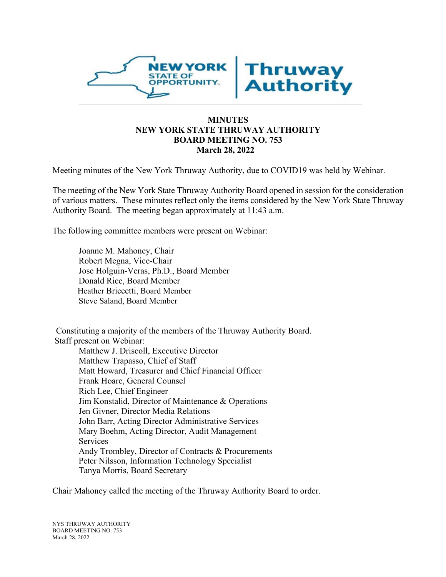

## **MINUTES NEW YORK STATE THRUWAY AUTHORITY BOARD MEETING NO. 753 March 28, 2022**

Meeting minutes of the New York Thruway Authority, due to COVID19 was held by Webinar.

The meeting of the New York State Thruway Authority Board opened in session for the consideration of various matters. These minutes reflect only the items considered by the New York State Thruway Authority Board. The meeting began approximately at 11:43 a.m.

The following committee members were present on Webinar:

Joanne M. Mahoney, Chair Robert Megna, Vice-Chair Jose Holguin-Veras, Ph.D., Board Member Donald Rice, Board Member Heather Briccetti, Board Member Steve Saland, Board Member

Constituting a majority of the members of the Thruway Authority Board. Staff present on Webinar:

Matthew J. Driscoll, Executive Director Matthew Trapasso, Chief of Staff Matt Howard, Treasurer and Chief Financial Officer Frank Hoare, General Counsel Rich Lee, Chief Engineer Jim Konstalid, Director of Maintenance & Operations Jen Givner, Director Media Relations John Barr, Acting Director Administrative Services Mary Boehm, Acting Director, Audit Management Services Andy Trombley, Director of Contracts & Procurements Peter Nilsson, Information Technology Specialist Tanya Morris, Board Secretary

Chair Mahoney called the meeting of the Thruway Authority Board to order.

NYS THRUWAY AUTHORITY BOARD MEETING NO. 753 March 28, 2022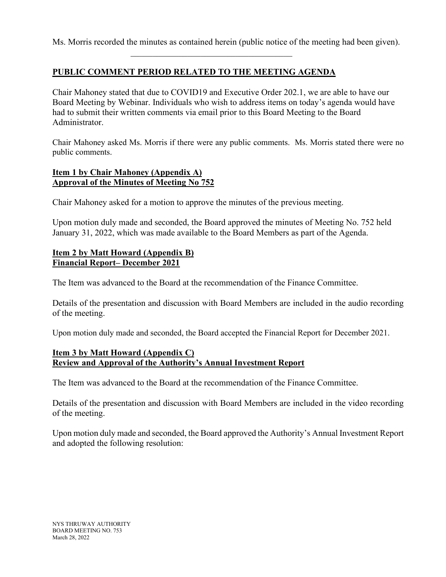Ms. Morris recorded the minutes as contained herein (public notice of the meeting had been given).

\_\_\_\_\_\_\_\_\_\_\_\_\_\_\_\_\_\_\_\_\_\_\_\_\_\_\_\_\_\_\_\_\_\_\_\_\_

# **PUBLIC COMMENT PERIOD RELATED TO THE MEETING AGENDA**

Chair Mahoney stated that due to COVID19 and Executive Order 202.1, we are able to have our Board Meeting by Webinar. Individuals who wish to address items on today's agenda would have had to submit their written comments via email prior to this Board Meeting to the Board Administrator.

Chair Mahoney asked Ms. Morris if there were any public comments. Ms. Morris stated there were no public comments.

# **Item 1 by Chair Mahoney (Appendix A) Approval of the Minutes of Meeting No 752**

Chair Mahoney asked for a motion to approve the minutes of the previous meeting.

Upon motion duly made and seconded, the Board approved the minutes of Meeting No. 752 held January 31, 2022, which was made available to the Board Members as part of the Agenda.

# **Item 2 by Matt Howard (Appendix B) Financial Report– December 2021**

The Item was advanced to the Board at the recommendation of the Finance Committee.

Details of the presentation and discussion with Board Members are included in the audio recording of the meeting.

Upon motion duly made and seconded, the Board accepted the Financial Report for December 2021.

## **Item 3 by Matt Howard (Appendix C) Review and Approval of the Authority's Annual Investment Report**

The Item was advanced to the Board at the recommendation of the Finance Committee.

Details of the presentation and discussion with Board Members are included in the video recording of the meeting.

Upon motion duly made and seconded, the Board approved the Authority's Annual Investment Report and adopted the following resolution: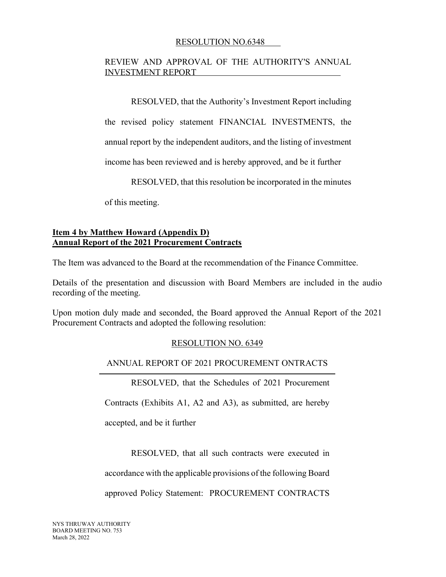## RESOLUTION NO.6348

## REVIEW AND APPROVAL OF THE AUTHORITY'S ANNUAL INVESTMENT REPORT

RESOLVED, that the Authority's Investment Report including

the revised policy statement FINANCIAL INVESTMENTS, the

annual report by the independent auditors, and the listing of investment

income has been reviewed and is hereby approved, and be it further

RESOLVED, that this resolution be incorporated in the minutes

of this meeting.

## **Item 4 by Matthew Howard (Appendix D) Annual Report of the 2021 Procurement Contracts**

The Item was advanced to the Board at the recommendation of the Finance Committee.

Details of the presentation and discussion with Board Members are included in the audio recording of the meeting.

Upon motion duly made and seconded, the Board approved the Annual Report of the 2021 Procurement Contracts and adopted the following resolution:

## RESOLUTION NO. 6349

## ANNUAL REPORT OF 2021 PROCUREMENT ONTRACTS

RESOLVED, that the Schedules of 2021 Procurement

Contracts (Exhibits A1, A2 and A3), as submitted, are hereby

accepted, and be it further

RESOLVED, that all such contracts were executed in

accordance with the applicable provisions of the following Board

approved Policy Statement: PROCUREMENT CONTRACTS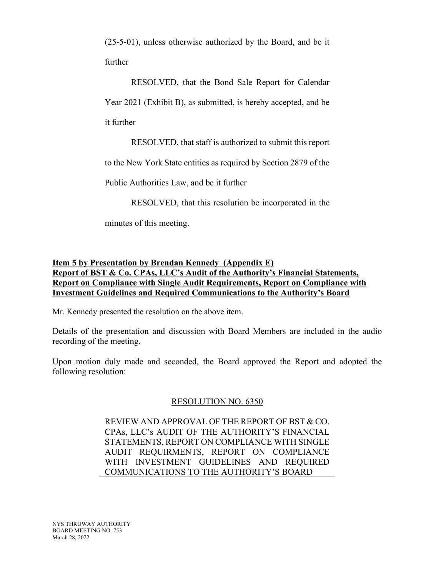(25-5-01), unless otherwise authorized by the Board, and be it further

RESOLVED, that the Bond Sale Report for Calendar Year 2021 (Exhibit B), as submitted, is hereby accepted, and be it further

RESOLVED, that staff is authorized to submit this report

to the New York State entities as required by Section 2879 of the

Public Authorities Law, and be it further

RESOLVED, that this resolution be incorporated in the

minutes of this meeting.

# **Item 5 by Presentation by Brendan Kennedy (Appendix E) Report of BST & Co. CPAs, LLC's Audit of the Authority's Financial Statements, Report on Compliance with Single Audit Requirements, Report on Compliance with Investment Guidelines and Required Communications to the Authority's Board**

Mr. Kennedy presented the resolution on the above item.

Details of the presentation and discussion with Board Members are included in the audio recording of the meeting.

Upon motion duly made and seconded, the Board approved the Report and adopted the following resolution:

# RESOLUTION NO. 6350

REVIEW AND APPROVAL OF THE REPORT OF BST & CO. CPAs, LLC's AUDIT OF THE AUTHORITY'S FINANCIAL STATEMENTS, REPORT ON COMPLIANCE WITH SINGLE AUDIT REQUIRMENTS, REPORT ON COMPLIANCE WITH INVESTMENT GUIDELINES AND REQUIRED COMMUNICATIONS TO THE AUTHORITY'S BOARD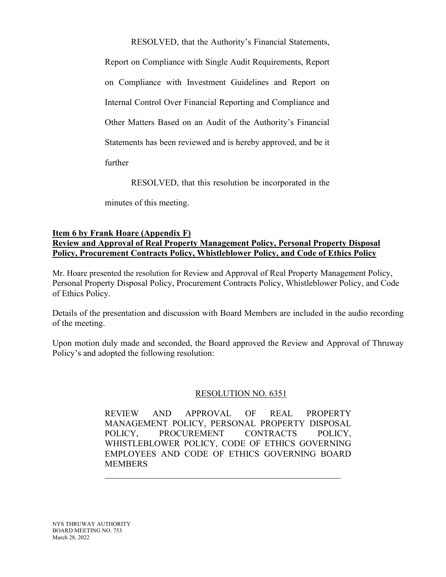RESOLVED, that the Authority's Financial Statements,

Report on Compliance with Single Audit Requirements, Report on Compliance with Investment Guidelines and Report on Internal Control Over Financial Reporting and Compliance and Other Matters Based on an Audit of the Authority's Financial Statements has been reviewed and is hereby approved, and be it further

RESOLVED, that this resolution be incorporated in the

minutes of this meeting.

### **Item 6 by Frank Hoare (Appendix F) Review and Approval of Real Property Management Policy, Personal Property Disposal Policy, Procurement Contracts Policy, Whistleblower Policy, and Code of Ethics Policy**

Mr. Hoare presented the resolution for Review and Approval of Real Property Management Policy, Personal Property Disposal Policy, Procurement Contracts Policy, Whistleblower Policy, and Code of Ethics Policy.

Details of the presentation and discussion with Board Members are included in the audio recording of the meeting.

Upon motion duly made and seconded, the Board approved the Review and Approval of Thruway Policy's and adopted the following resolution:

## RESOLUTION NO. 6351

REVIEW AND APPROVAL OF REAL PROPERTY MANAGEMENT POLICY, PERSONAL PROPERTY DISPOSAL POLICY, PROCUREMENT CONTRACTS POLICY, WHISTLEBLOWER POLICY, CODE OF ETHICS GOVERNING EMPLOYEES AND CODE OF ETHICS GOVERNING BOARD **MEMBERS** 

\_\_\_\_\_\_\_\_\_\_\_\_\_\_\_\_\_\_\_\_\_\_\_\_\_\_\_\_\_\_\_\_\_\_\_\_\_\_\_\_\_\_\_\_\_\_\_\_\_\_\_\_\_\_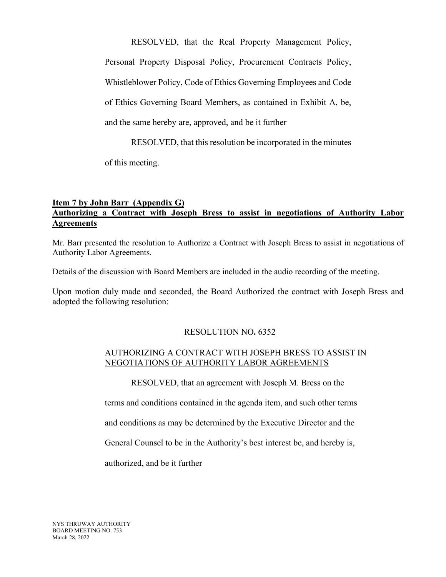RESOLVED, that the Real Property Management Policy,

Personal Property Disposal Policy, Procurement Contracts Policy,

Whistleblower Policy, Code of Ethics Governing Employees and Code

of Ethics Governing Board Members, as contained in Exhibit A, be,

and the same hereby are, approved, and be it further

RESOLVED, that this resolution be incorporated in the minutes

of this meeting.

## **Item 7 by John Barr (Appendix G) Authorizing a Contract with Joseph Bress to assist in negotiations of Authority Labor Agreements**

Mr. Barr presented the resolution to Authorize a Contract with Joseph Bress to assist in negotiations of Authority Labor Agreements.

Details of the discussion with Board Members are included in the audio recording of the meeting.

Upon motion duly made and seconded, the Board Authorized the contract with Joseph Bress and adopted the following resolution:

# RESOLUTION NO**.** 6352

# AUTHORIZING A CONTRACT WITH JOSEPH BRESS TO ASSIST IN NEGOTIATIONS OF AUTHORITY LABOR AGREEMENTS

RESOLVED, that an agreement with Joseph M. Bress on the

terms and conditions contained in the agenda item, and such other terms

and conditions as may be determined by the Executive Director and the

General Counsel to be in the Authority's best interest be, and hereby is,

authorized, and be it further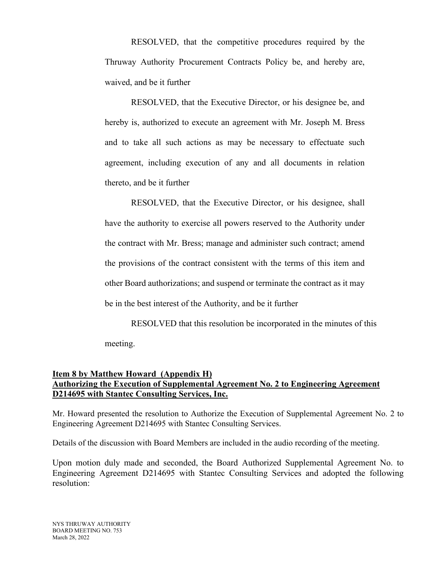RESOLVED, that the competitive procedures required by the Thruway Authority Procurement Contracts Policy be, and hereby are, waived, and be it further

 RESOLVED, that the Executive Director, or his designee be, and hereby is, authorized to execute an agreement with Mr. Joseph M. Bress and to take all such actions as may be necessary to effectuate such agreement, including execution of any and all documents in relation thereto, and be it further

 RESOLVED, that the Executive Director, or his designee, shall have the authority to exercise all powers reserved to the Authority under the contract with Mr. Bress; manage and administer such contract; amend the provisions of the contract consistent with the terms of this item and other Board authorizations; and suspend or terminate the contract as it may be in the best interest of the Authority, and be it further

 RESOLVED that this resolution be incorporated in the minutes of this meeting.

## **Item 8 by Matthew Howard (Appendix H) Authorizing the Execution of Supplemental Agreement No. 2 to Engineering Agreement D214695 with Stantec Consulting Services, Inc.**

Mr. Howard presented the resolution to Authorize the Execution of Supplemental Agreement No. 2 to Engineering Agreement D214695 with Stantec Consulting Services.

Details of the discussion with Board Members are included in the audio recording of the meeting.

Upon motion duly made and seconded, the Board Authorized Supplemental Agreement No. to Engineering Agreement D214695 with Stantec Consulting Services and adopted the following resolution: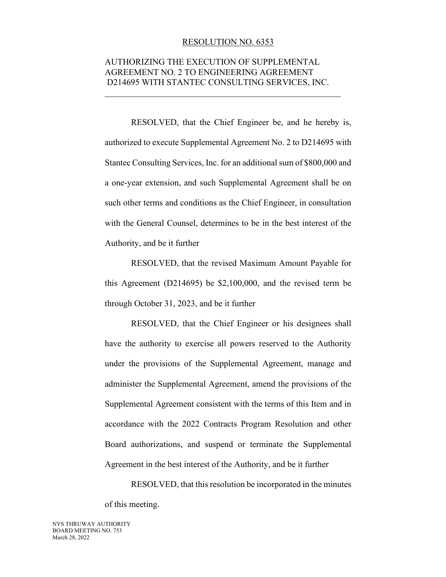#### RESOLUTION NO. 6353

## AUTHORIZING THE EXECUTION OF SUPPLEMENTAL AGREEMENT NO. 2 TO ENGINEERING AGREEMENT D214695 WITH STANTEC CONSULTING SERVICES, INC.

\_\_\_\_\_\_\_\_\_\_\_\_\_\_\_\_\_\_\_\_\_\_\_\_\_\_\_\_\_\_\_\_\_\_\_\_\_\_\_\_\_\_\_\_\_\_\_\_\_\_\_\_\_\_

RESOLVED, that the Chief Engineer be, and he hereby is, authorized to execute Supplemental Agreement No. 2 to D214695 with Stantec Consulting Services, Inc. for an additional sum of \$800,000 and a one-year extension, and such Supplemental Agreement shall be on such other terms and conditions as the Chief Engineer, in consultation with the General Counsel, determines to be in the best interest of the Authority, and be it further

RESOLVED, that the revised Maximum Amount Payable for this Agreement (D214695) be \$2,100,000, and the revised term be through October 31, 2023, and be it further

RESOLVED, that the Chief Engineer or his designees shall have the authority to exercise all powers reserved to the Authority under the provisions of the Supplemental Agreement, manage and administer the Supplemental Agreement, amend the provisions of the Supplemental Agreement consistent with the terms of this Item and in accordance with the 2022 Contracts Program Resolution and other Board authorizations, and suspend or terminate the Supplemental Agreement in the best interest of the Authority, and be it further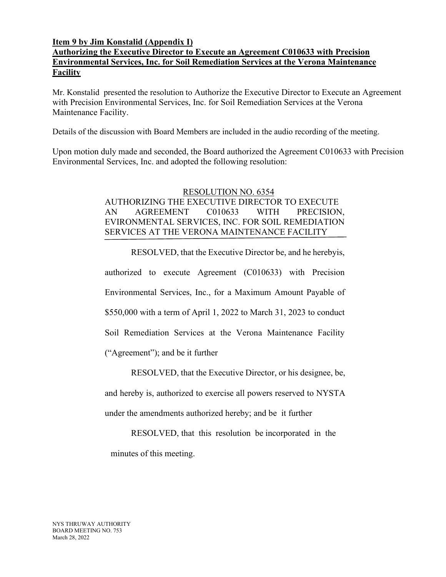## **Item 9 by Jim Konstalid (Appendix I)**

# **Authorizing the Executive Director to Execute an Agreement C010633 with Precision Environmental Services, Inc. for Soil Remediation Services at the Verona Maintenance Facility**

Mr. Konstalid presented the resolution to Authorize the Executive Director to Execute an Agreement with Precision Environmental Services, Inc. for Soil Remediation Services at the Verona Maintenance Facility.

Details of the discussion with Board Members are included in the audio recording of the meeting.

Upon motion duly made and seconded, the Board authorized the Agreement C010633 with Precision Environmental Services, Inc. and adopted the following resolution:

# RESOLUTION NO. 6354 AUTHORIZING THE EXECUTIVE DIRECTOR TO EXECUTE AN AGREEMENT C010633 WITH PRECISION, EVIRONMENTAL SERVICES, INC. FOR SOIL REMEDIATION SERVICES AT THE VERONA MAINTENANCE FACILITY

RESOLVED, that the Executive Director be, and he hereby is, authorized to execute Agreement (C010633) with Precision Environmental Services, Inc., for a Maximum Amount Payable of \$550,000 with a term of April 1, 2022 to March 31, 2023 to conduct Soil Remediation Services at the Verona Maintenance Facility ("Agreement"); and be it further

RESOLVED, that the Executive Director, or his designee, be, and hereby is, authorized to exercise all powers reserved to NYSTA under the amendments authorized hereby; and be it further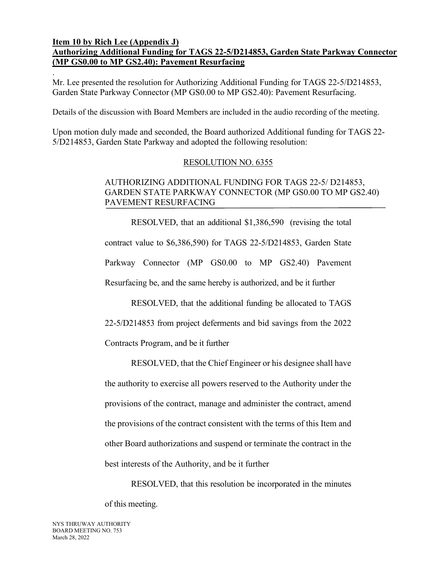### **Item 10 by Rich Lee (Appendix J) Authorizing Additional Funding for TAGS 22-5/D214853, Garden State Parkway Connector (MP GS0.00 to MP GS2.40): Pavement Resurfacing**

. Mr. Lee presented the resolution for Authorizing Additional Funding for TAGS 22-5/D214853, Garden State Parkway Connector (MP GS0.00 to MP GS2.40): Pavement Resurfacing.

Details of the discussion with Board Members are included in the audio recording of the meeting.

Upon motion duly made and seconded, the Board authorized Additional funding for TAGS 22- 5/D214853, Garden State Parkway and adopted the following resolution:

## RESOLUTION NO. 6355

## AUTHORIZING ADDITIONAL FUNDING FOR TAGS 22-5/ D214853, GARDEN STATE PARKWAY CONNECTOR (MP GS0.00 TO MP GS2.40) PAVEMENT RESURFACING

 RESOLVED, that an additional \$1,386,590 (revising the total contract value to \$6,386,590) for TAGS 22-5/D214853, Garden State Parkway Connector (MP GS0.00 to MP GS2.40) Pavement Resurfacing be, and the same hereby is authorized, and be it further

 RESOLVED, that the additional funding be allocated to TAGS 22-5/D214853 from project deferments and bid savings from the 2022

Contracts Program, and be it further

 RESOLVED, that the Chief Engineer or his designee shall have the authority to exercise all powers reserved to the Authority under the provisions of the contract, manage and administer the contract, amend the provisions of the contract consistent with the terms of this Item and other Board authorizations and suspend or terminate the contract in the best interests of the Authority, and be it further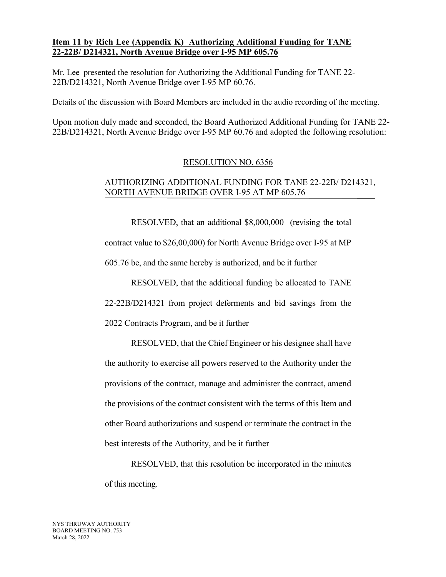## **Item 11 by Rich Lee (Appendix K) Authorizing Additional Funding for TANE 22-22B/ D214321, North Avenue Bridge over I-95 MP 605.76**

Mr. Lee presented the resolution for Authorizing the Additional Funding for TANE 22- 22B/D214321, North Avenue Bridge over I-95 MP 60.76.

Details of the discussion with Board Members are included in the audio recording of the meeting.

Upon motion duly made and seconded, the Board Authorized Additional Funding for TANE 22- 22B/D214321, North Avenue Bridge over I-95 MP 60.76 and adopted the following resolution:

## RESOLUTION NO. 6356

# AUTHORIZING ADDITIONAL FUNDING FOR TANE 22-22B/ D214321, NORTH AVENUE BRIDGE OVER I-95 AT MP 605.76

 RESOLVED, that an additional \$8,000,000 (revising the total contract value to \$26,00,000) for North Avenue Bridge over I-95 at MP 605.76 be, and the same hereby is authorized, and be it further

 RESOLVED, that the additional funding be allocated to TANE 22-22B/D214321 from project deferments and bid savings from the 2022 Contracts Program, and be it further

 RESOLVED, that the Chief Engineer or his designee shall have the authority to exercise all powers reserved to the Authority under the provisions of the contract, manage and administer the contract, amend the provisions of the contract consistent with the terms of this Item and other Board authorizations and suspend or terminate the contract in the best interests of the Authority, and be it further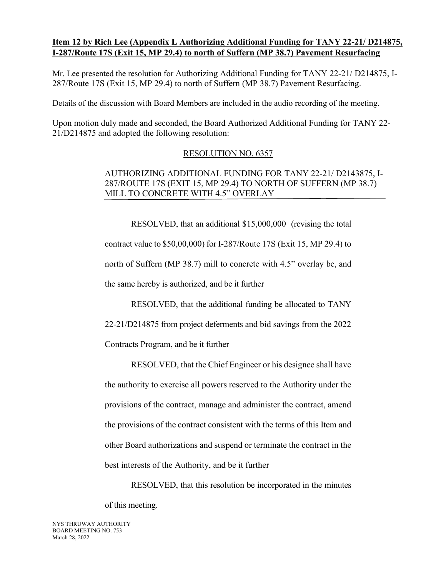## **Item 12 by Rich Lee (Appendix L Authorizing Additional Funding for TANY 22-21/ D214875, I-287/Route 17S (Exit 15, MP 29.4) to north of Suffern (MP 38.7) Pavement Resurfacing**

Mr. Lee presented the resolution for Authorizing Additional Funding for TANY 22-21/ D214875, I-287/Route 17S (Exit 15, MP 29.4) to north of Suffern (MP 38.7) Pavement Resurfacing.

Details of the discussion with Board Members are included in the audio recording of the meeting.

Upon motion duly made and seconded, the Board Authorized Additional Funding for TANY 22- 21/D214875 and adopted the following resolution:

## RESOLUTION NO. 6357

# AUTHORIZING ADDITIONAL FUNDING FOR TANY 22-21/ D2143875, I-287/ROUTE 17S (EXIT 15, MP 29.4) TO NORTH OF SUFFERN (MP 38.7) MILL TO CONCRETE WITH 4.5" OVERLAY

 RESOLVED, that an additional \$15,000,000 (revising the total contract value to \$50,00,000) for I-287/Route 17S (Exit 15, MP 29.4) to north of Suffern (MP 38.7) mill to concrete with 4.5" overlay be, and the same hereby is authorized, and be it further

 RESOLVED, that the additional funding be allocated to TANY 22-21/D214875 from project deferments and bid savings from the 2022 Contracts Program, and be it further

 RESOLVED, that the Chief Engineer or his designee shall have the authority to exercise all powers reserved to the Authority under the provisions of the contract, manage and administer the contract, amend the provisions of the contract consistent with the terms of this Item and other Board authorizations and suspend or terminate the contract in the best interests of the Authority, and be it further